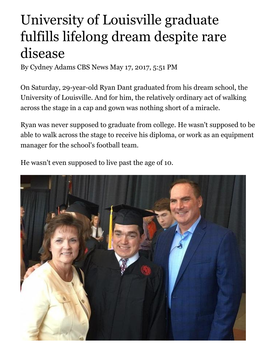## University of Louisville graduate fulfills lifelong dream despite rare disease

By Cydney Adams CBS News May 17, 2017, 5:51 PM

On Saturday, 29-year-old Ryan Dant graduated from his dream school, the University of Louisville. And for him, the relatively ordinary act of walking across the stage in a cap and gown was nothing short of a miracle.

Ryan was never supposed to graduate from college. He wasn't supposed to be able to walk across the stage to receive his diploma, or work as an equipment manager for the school's football team.

He wasn't even supposed to live past the age of 10.

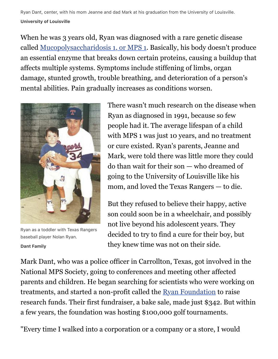Ryan Dant, center, with his mom Jeanne and dad Mark at his graduation from the University of Louisville. **University of Louisville**

When he was 3 years old, Ryan was diagnosed with a rare genetic disease called [Mucopolysaccharidosis 1, or MPS 1.](http://mpssociety.org/mps/mps-i/) Basically, his body doesn't produce an essential enzyme that breaks down certain proteins, causing a buildup that affects multiple systems. Symptoms include stiffening of limbs, organ damage, stunted growth, trouble breathing, and deterioration of a person's mental abilities. Pain gradually increases as conditions worsen.



Ryan as a toddler with Texas Rangers baseball player Nolan Ryan. **Dant Family**

There wasn't much research on the disease when Ryan as diagnosed in 1991, because so few people had it. The average lifespan of a child with MPS 1 was just 10 years, and no treatment or cure existed. Ryan's parents, Jeanne and Mark, were told there was little more they could do than wait for their son — who dreamed of going to the University of Louisville like his mom, and loved the Texas Rangers — to die.

But they refused to believe their happy, active son could soon be in a wheelchair, and possibly not live beyond his adolescent years. They decided to try to find a cure for their boy, but they knew time was not on their side.

Mark Dant, who was a police officer in Carrollton, Texas, got involved in the National MPS Society, going to conferences and meeting other affected parents and children. He began searching for scientists who were working on treatments, and started a non-profit called the [Ryan Foundation](http://ryanfoundation.net/who-we-are/#ryan) to raise research funds. Their first fundraiser, a bake sale, made just \$342. But within a few years, the foundation was hosting \$100,000 golf tournaments.

"Every time I walked into a corporation or a company or a store, I would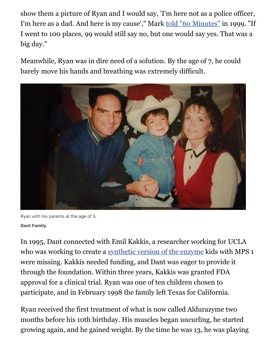show them a picture of Ryan and I would say, 'I'm here not as a police officer, I'm here as a dad. And here is my cause'," Mark [told "60 Minutes"](https://www.cbsnews.com/news/saving-ryan-30-06-2003/) in 1999. "If I went to 100 places, 99 would still say no, but one would say yes. That was a big day."

Meanwhile, Ryan was in dire need of a solution. By the age of 7, he could barely move his hands and breathing was extremely difficult.



Ryan with his parents at the age of 5.

## **Dant Family**

In 1995, Dant connected with Emil Kakkis, a researcher working for UCLA who was working to create a [synthetic version of the enzyme](https://www.cbsnews.com/news/synthetic-enzyme-therapy/) kids with MPS 1 were missing. Kakkis needed funding, and Dant was eager to provide it through the foundation. Within three years, Kakkis was granted FDA approval for a clinical trial. Ryan was one of ten children chosen to participate, and in February 1998 the family left Texas for California.

Ryan received the first treatment of what is now called Aldurazyme two months before his 10th birthday. His muscles began uncurling, he started growing again, and he gained weight. By the time he was 13, he was playing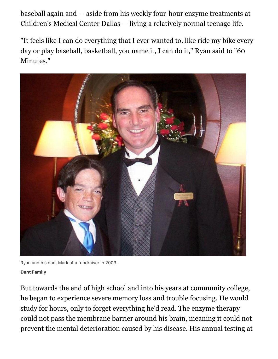baseball again and — aside from his weekly four-hour enzyme treatments at Children's Medical Center Dallas — living a relatively normal teenage life.

"It feels like I can do everything that I ever wanted to, like ride my bike every day or play baseball, basketball, you name it, I can do it," Ryan said to "60 Minutes."



Ryan and his dad, Mark at a fundraiser in 2003. **Dant Family**

But towards the end of high school and into his years at community college, he began to experience severe memory loss and trouble focusing. He would study for hours, only to forget everything he'd read. The enzyme therapy could not pass the membrane barrier around his brain, meaning it could not prevent the mental deterioration caused by his disease. His annual testing at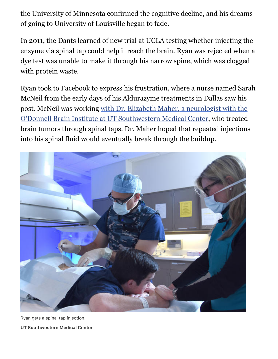the University of Minnesota confirmed the cognitive decline, and his dreams of going to University of Louisville began to fade.

In 2011, the Dants learned of new trial at UCLA testing whether injecting the enzyme via spinal tap could help it reach the brain. Ryan was rejected when a dye test was unable to make it through his narrow spine, which was clogged with protein waste.

Ryan took to Facebook to express his frustration, where a nurse named Sarah McNeil from the early days of his Aldurazyme treatments in Dallas saw his [post. McNeil was working with Dr. Elizabeth Maher, a neurologist with the](http://www.utsouthwestern.edu/newsroom/news-releases/year-2017/may/saving-ryan-maher.html) O'Donnell Brain Institute at UT Southwestern Medical Center, who treated brain tumors through spinal taps. Dr. Maher hoped that repeated injections into his spinal fluid would eventually break through the buildup.



Ryan gets a spinal tap injection.

**UT Southwestern Medical Center**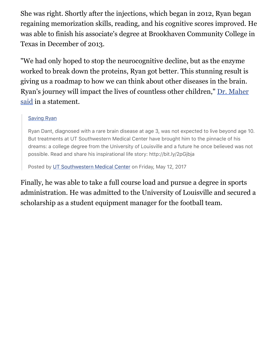She was right. Shortly after the injections, which began in 2012, Ryan began regaining memorization skills, reading, and his cognitive scores improved. He was able to finish his associate's degree at Brookhaven Community College in Texas in December of 2013.

"We had only hoped to stop the neurocognitive decline, but as the enzyme worked to break down the proteins, Ryan got better. This stunning result is giving us a roadmap to how we can think about other diseases in the brain. [Ryan's journey will impact the lives of countless other children," Dr. Maher](http://www.utsouthwestern.edu/newsroom/news-releases/year-2017/may/saving-ryan-maher.html) said in a statement.

## [Saving Ryan](https://www.facebook.com/utswnews/videos/10155240436897192/)

Ryan Dant, diagnosed with a rare brain disease at age 3, was not expected to live beyond age 10. But treatments at UT Southwestern Medical Center have brought him to the pinnacle of his dreams: a college degree from the University of Louisville and a future he once believed was not possible. Read and share his inspirational life story: http://bit.ly/2pGjbja

Posted by [UT Southwestern Medical Center](https://www.facebook.com/utswnews/) on Friday, May 12, 2017

Finally, he was able to take a full course load and pursue a degree in sports administration. He was admitted to the University of Louisville and secured a scholarship as a student equipment manager for the football team.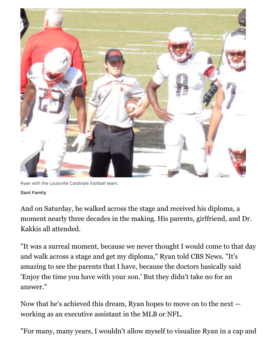

Ryan with the Louisville Cardinals football team. **Dant Family**

And on Saturday, he walked across the stage and received his diploma, a moment nearly three decades in the making. His parents, girlfriend, and Dr. Kakkis all attended.

"It was a surreal moment, because we never thought I would come to that day and walk across a stage and get my diploma," Ryan told CBS News. "It's amazing to see the parents that I have, because the doctors basically said 'Enjoy the time you have with your son.' But they didn't take no for an answer."

Now that he's achieved this dream, Ryan hopes to move on to the next working as an executive assistant in the MLB or NFL.

"For many, many years, I wouldn't allow myself to visualize Ryan in a cap and